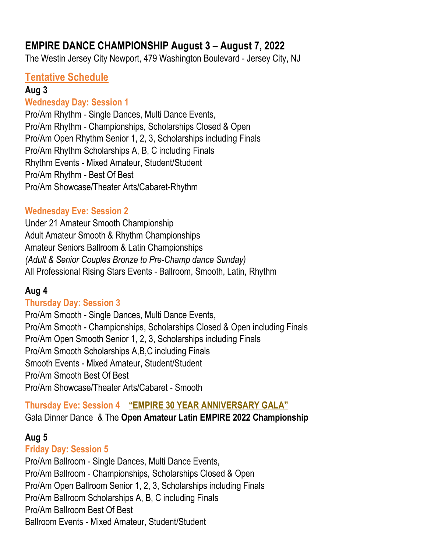# EMPIRE DANCE CHAMPIONSHIP August 3 – August 7, 2022

The Westin Jersey City Newport, 479 Washington Boulevard - Jersey City, NJ

# Tentative Schedule

#### Aug 3

## Wednesday Day: Session 1

Pro/Am Rhythm - Single Dances, Multi Dance Events, Pro/Am Rhythm - Championships, Scholarships Closed & Open Pro/Am Open Rhythm Senior 1, 2, 3, Scholarships including Finals Pro/Am Rhythm Scholarships A, B, C including Finals Rhythm Events - Mixed Amateur, Student/Student Pro/Am Rhythm - Best Of Best Pro/Am Showcase/Theater Arts/Cabaret-Rhythm

## Wednesday Eve: Session 2

Under 21 Amateur Smooth Championship Adult Amateur Smooth & Rhythm Championships Amateur Seniors Ballroom & Latin Championships (Adult & Senior Couples Bronze to Pre-Champ dance Sunday) All Professional Rising Stars Events - Ballroom, Smooth, Latin, Rhythm

## Aug 4

## Thursday Day: Session 3

Pro/Am Smooth - Single Dances, Multi Dance Events, Pro/Am Smooth - Championships, Scholarships Closed & Open including Finals Pro/Am Open Smooth Senior 1, 2, 3, Scholarships including Finals Pro/Am Smooth Scholarships A,B,C including Finals Smooth Events - Mixed Amateur, Student/Student Pro/Am Smooth Best Of Best Pro/Am Showcase/Theater Arts/Cabaret - Smooth

Thursday Eve: Session 4 "EMPIRE 30 YEAR ANNIVERSARY GALA" Gala Dinner Dance & The Open Amateur Latin EMPIRE 2022 Championship

## Aug 5

## Friday Day: Session 5

Pro/Am Ballroom - Single Dances, Multi Dance Events, Pro/Am Ballroom - Championships, Scholarships Closed & Open Pro/Am Open Ballroom Senior 1, 2, 3, Scholarships including Finals Pro/Am Ballroom Scholarships A, B, C including Finals Pro/Am Ballroom Best Of Best Ballroom Events - Mixed Amateur, Student/Student